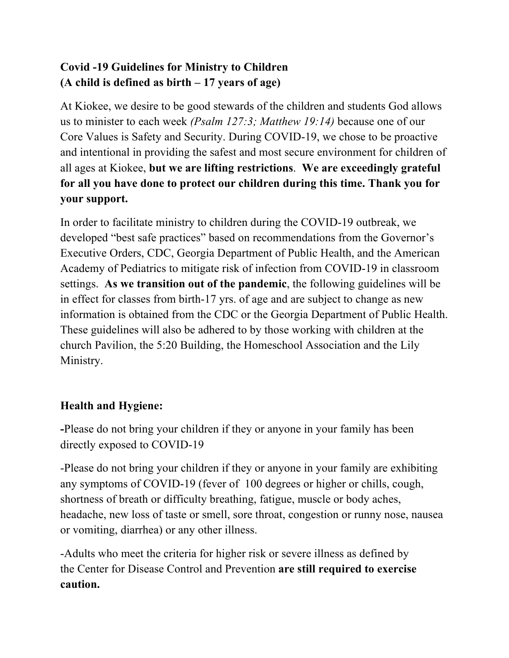# **Covid -19 Guidelines for Ministry to Children (A child is defined as birth – 17 years of age)**

At Kiokee, we desire to be good stewards of the children and students God allows us to minister to each week *(Psalm 127:3; Matthew 19:14)* because one of our Core Values is Safety and Security. During COVID-19, we chose to be proactive and intentional in providing the safest and most secure environment for children of all ages at Kiokee, **but we are lifting restrictions**. **We are exceedingly grateful for all you have done to protect our children during this time. Thank you for your support.** 

In order to facilitate ministry to children during the COVID-19 outbreak, we developed "best safe practices" based on recommendations from the Governor's Executive Orders, CDC, Georgia Department of Public Health, and the American Academy of Pediatrics to mitigate risk of infection from COVID-19 in classroom settings. **As we transition out of the pandemic**, the following guidelines will be in effect for classes from birth-17 yrs. of age and are subject to change as new information is obtained from the CDC or the Georgia Department of Public Health. These guidelines will also be adhered to by those working with children at the church Pavilion, the 5:20 Building, the Homeschool Association and the Lily Ministry.

# **Health and Hygiene:**

**-**Please do not bring your children if they or anyone in your family has been directly exposed to COVID-19

-Please do not bring your children if they or anyone in your family are exhibiting any symptoms of COVID-19 (fever of 100 degrees or higher or chills, cough, shortness of breath or difficulty breathing, fatigue, muscle or body aches, headache, new loss of taste or smell, sore throat, congestion or runny nose, nausea or vomiting, diarrhea) or any other illness.

-Adults who meet the criteria for higher risk or severe illness as defined by the Center for Disease Control and Prevention **are still required to exercise caution.**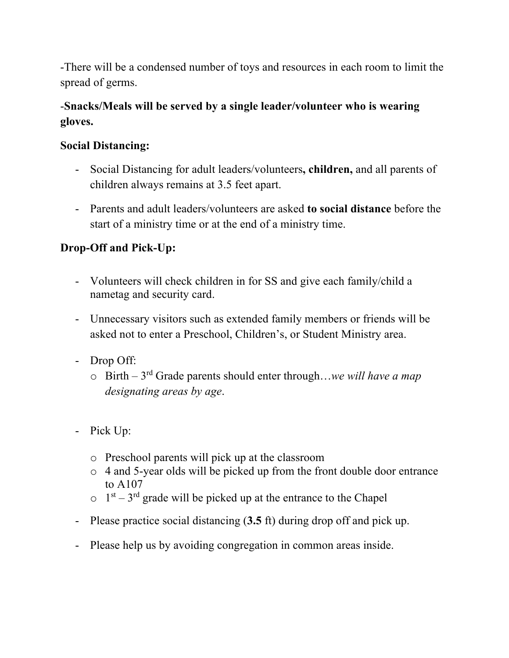-There will be a condensed number of toys and resources in each room to limit the spread of germs.

## -**Snacks/Meals will be served by a single leader/volunteer who is wearing gloves.**

## **Social Distancing:**

- Social Distancing for adult leaders/volunteers**, children,** and all parents of children always remains at 3.5 feet apart.
- Parents and adult leaders/volunteers are asked **to social distance** before the start of a ministry time or at the end of a ministry time.

## **Drop-Off and Pick-Up:**

- Volunteers will check children in for SS and give each family/child a nametag and security card.
- Unnecessary visitors such as extended family members or friends will be asked not to enter a Preschool, Children's, or Student Ministry area.
- Drop Off:
	- o Birth 3rd Grade parents should enter through…*we will have a map designating areas by age*.
- Pick Up:
	- o Preschool parents will pick up at the classroom
	- o 4 and 5-year olds will be picked up from the front double door entrance to A107
	- $\circ$  1<sup>st</sup> 3<sup>rd</sup> grade will be picked up at the entrance to the Chapel
- Please practice social distancing (**3.5** ft) during drop off and pick up.
- Please help us by avoiding congregation in common areas inside.